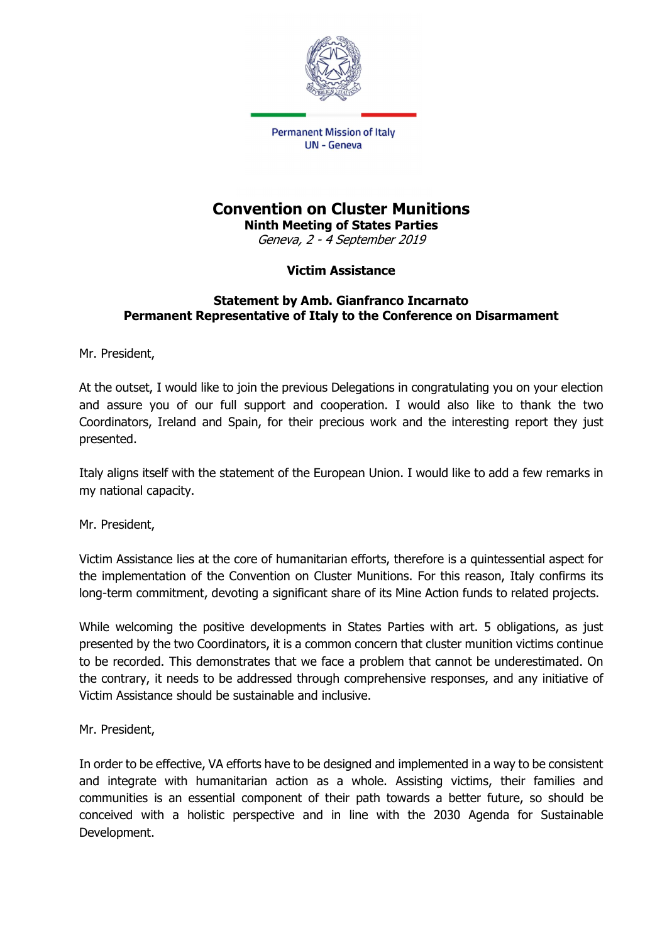

## Convention on Cluster Munitions

Ninth Meeting of States Parties Geneva, 2 - 4 September 2019

## Victim Assistance

## Statement by Amb. Gianfranco Incarnato Permanent Representative of Italy to the Conference on Disarmament

Mr. President,

At the outset, I would like to join the previous Delegations in congratulating you on your election and assure you of our full support and cooperation. I would also like to thank the two Coordinators, Ireland and Spain, for their precious work and the interesting report they just presented.

Italy aligns itself with the statement of the European Union. I would like to add a few remarks in my national capacity.

Mr. President,

Victim Assistance lies at the core of humanitarian efforts, therefore is a quintessential aspect for the implementation of the Convention on Cluster Munitions. For this reason, Italy confirms its long-term commitment, devoting a significant share of its Mine Action funds to related projects.

While welcoming the positive developments in States Parties with art. 5 obligations, as just presented by the two Coordinators, it is a common concern that cluster munition victims continue to be recorded. This demonstrates that we face a problem that cannot be underestimated. On the contrary, it needs to be addressed through comprehensive responses, and any initiative of Victim Assistance should be sustainable and inclusive.

Mr. President,

In order to be effective, VA efforts have to be designed and implemented in a way to be consistent and integrate with humanitarian action as a whole. Assisting victims, their families and communities is an essential component of their path towards a better future, so should be conceived with a holistic perspective and in line with the 2030 Agenda for Sustainable Development.